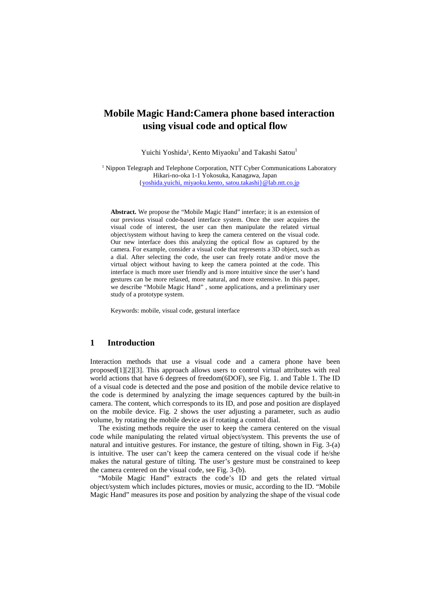# **Mobile Magic Hand:Camera phone based interaction using visual code and optical flow**

Yuichi Yoshida<sup>1</sup>, Kento Miyaoku<sup>1</sup> and Takashi Satou<sup>1</sup>

<sup>1</sup> Nippon Telegraph and Telephone Corporation, NTT Cyber Communications Laboratory Hikari-no-oka 1-1 Yokosuka, Kanagawa, Japan {yoshida.yuichi, miyaoku.kento, satou.takashi}@lab.ntt.co.jp

**Abstract.** We propose the "Mobile Magic Hand" interface; it is an extension of our previous visual code-based interface system. Once the user acquires the visual code of interest, the user can then manipulate the related virtual object/system without having to keep the camera centered on the visual code. Our new interface does this analyzing the optical flow as captured by the camera. For example, consider a visual code that represents a 3D object, such as a dial. After selecting the code, the user can freely rotate and/or move the virtual object without having to keep the camera pointed at the code. This interface is much more user friendly and is more intuitive since the user's hand gestures can be more relaxed, more natural, and more extensive. In this paper, we describe "Mobile Magic Hand" , some applications, and a preliminary user study of a prototype system.

Keywords: mobile, visual code, gestural interface

### **1 Introduction**

Interaction methods that use a visual code and a camera phone have been proposed[1][2][3]. This approach allows users to control virtual attributes with real world actions that have 6 degrees of freedom(6DOF), see Fig. 1. and Table 1. The ID of a visual code is detected and the pose and position of the mobile device relative to the code is determined by analyzing the image sequences captured by the built-in camera. The content, which corresponds to its ID, and pose and position are displayed on the mobile device. Fig. 2 shows the user adjusting a parameter, such as audio volume, by rotating the mobile device as if rotating a control dial.

The existing methods require the user to keep the camera centered on the visual code while manipulating the related virtual object/system. This prevents the use of natural and intuitive gestures. For instance, the gesture of tilting, shown in Fig. 3-(a) is intuitive. The user can't keep the camera centered on the visual code if he/she makes the natural gesture of tilting. The user's gesture must be constrained to keep the camera centered on the visual code, see Fig. 3-(b).

"Mobile Magic Hand" extracts the code's ID and gets the related virtual object/system which includes pictures, movies or music, according to the ID. "Mobile Magic Hand" measures its pose and position by analyzing the shape of the visual code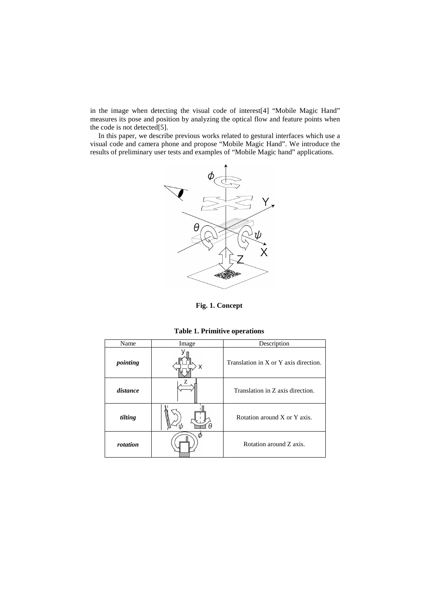in the image when detecting the visual code of interest[4] "Mobile Magic Hand" measures its pose and position by analyzing the optical flow and feature points when the code is not detected[5].

In this paper, we describe previous works related to gestural interfaces which use a visual code and camera phone and propose "Mobile Magic Hand". We introduce the results of preliminary user tests and examples of "Mobile Magic hand" applications.



**Fig. 1. Concept** 

**Table 1. Primitive operations** 

| Name     | Image | Description                           |
|----------|-------|---------------------------------------|
| pointing | x     | Translation in X or Y axis direction. |
| distance |       | Translation in Z axis direction.      |
| tilting  |       | Rotation around X or Y axis.          |
| rotation |       | Rotation around Z axis.               |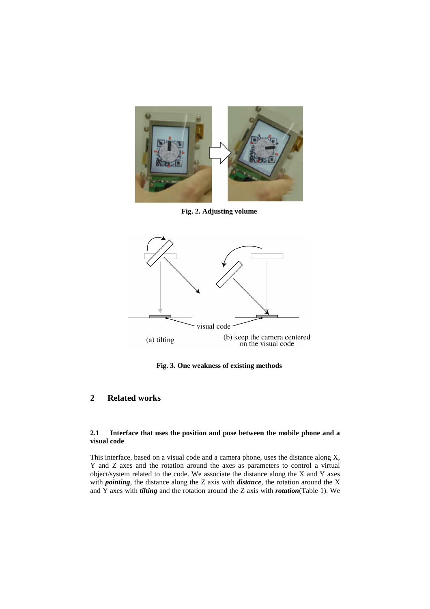

**Fig. 2. Adjusting volume** 



**Fig. 3. One weakness of existing methods** 

# **2 Related works**

### **2.1 Interface that uses the position and pose between the mobile phone and a visual code**

This interface, based on a visual code and a camera phone, uses the distance along X, Y and Z axes and the rotation around the axes as parameters to control a virtual object/system related to the code. We associate the distance along the X and Y axes with *pointing*, the distance along the Z axis with *distance*, the rotation around the X and Y axes with *tilting* and the rotation around the Z axis with *rotation*(Table 1). We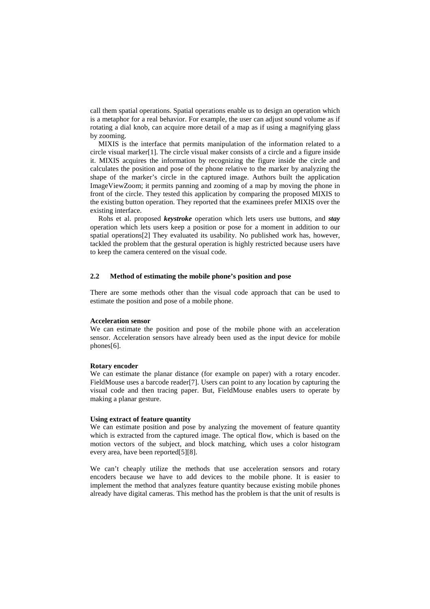call them spatial operations. Spatial operations enable us to design an operation which is a metaphor for a real behavior. For example, the user can adjust sound volume as if rotating a dial knob, can acquire more detail of a map as if using a magnifying glass by zooming.

MIXIS is the interface that permits manipulation of the information related to a circle visual marker[1]. The circle visual maker consists of a circle and a figure inside it. MIXIS acquires the information by recognizing the figure inside the circle and calculates the position and pose of the phone relative to the marker by analyzing the shape of the marker's circle in the captured image. Authors built the application ImageViewZoom; it permits panning and zooming of a map by moving the phone in front of the circle. They tested this application by comparing the proposed MIXIS to the existing button operation. They reported that the examinees prefer MIXIS over the existing interface.

Rohs et al. proposed *keystroke* operation which lets users use buttons, and *stay* operation which lets users keep a position or pose for a moment in addition to our spatial operations[2] They evaluated its usability. No published work has, however, tackled the problem that the gestural operation is highly restricted because users have to keep the camera centered on the visual code.

### **2.2 Method of estimating the mobile phone's position and pose**

There are some methods other than the visual code approach that can be used to estimate the position and pose of a mobile phone.

#### **Acceleration sensor**

We can estimate the position and pose of the mobile phone with an acceleration sensor. Acceleration sensors have already been used as the input device for mobile phones[6].

#### **Rotary encoder**

We can estimate the planar distance (for example on paper) with a rotary encoder. FieldMouse uses a barcode reader[7]. Users can point to any location by capturing the visual code and then tracing paper. But, FieldMouse enables users to operate by making a planar gesture.

#### **Using extract of feature quantity**

We can estimate position and pose by analyzing the movement of feature quantity which is extracted from the captured image. The optical flow, which is based on the motion vectors of the subject, and block matching, which uses a color histogram every area, have been reported[5][8].

We can't cheaply utilize the methods that use acceleration sensors and rotary encoders because we have to add devices to the mobile phone. It is easier to implement the method that analyzes feature quantity because existing mobile phones already have digital cameras. This method has the problem is that the unit of results is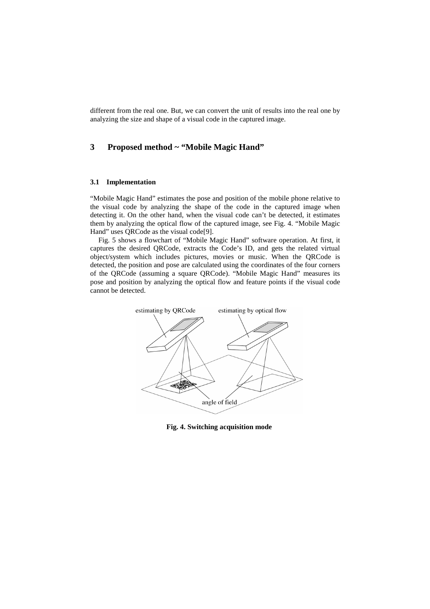different from the real one. But, we can convert the unit of results into the real one by analyzing the size and shape of a visual code in the captured image.

## **3 Proposed method ~ "Mobile Magic Hand"**

#### **3.1 Implementation**

"Mobile Magic Hand" estimates the pose and position of the mobile phone relative to the visual code by analyzing the shape of the code in the captured image when detecting it. On the other hand, when the visual code can't be detected, it estimates them by analyzing the optical flow of the captured image, see Fig. 4. "Mobile Magic Hand" uses QRCode as the visual code[9].

Fig. 5 shows a flowchart of "Mobile Magic Hand" software operation. At first, it captures the desired QRCode, extracts the Code's ID, and gets the related virtual object/system which includes pictures, movies or music. When the QRCode is detected, the position and pose are calculated using the coordinates of the four corners of the QRCode (assuming a square QRCode). "Mobile Magic Hand" measures its pose and position by analyzing the optical flow and feature points if the visual code cannot be detected.



**Fig. 4. Switching acquisition mode**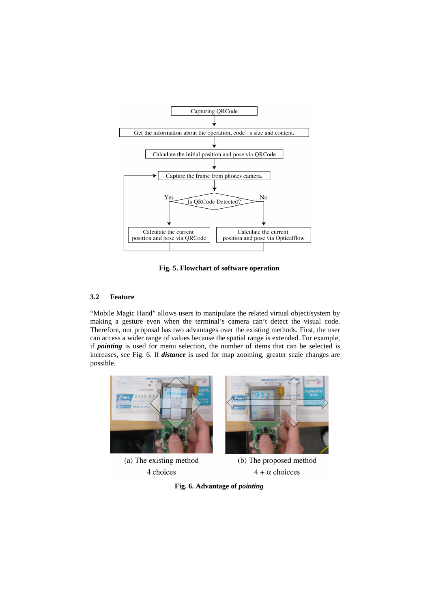

**Fig. 5. Flowchart of software operation** 

## **3.2 Feature**

"Mobile Magic Hand" allows users to manipulate the related virtual object/system by making a gesture even when the terminal's camera can't detect the visual code. Therefore, our proposal has two advantages over the existing methods. First, the user can access a wider range of values because the spatial range is extended. For example, if *pointing* is used for menu selection, the number of items that can be selected is increases, see Fig. 6. If *distance* is used for map zooming, greater scale changes are possible.



 $4 + \alpha$  choicces



4 choices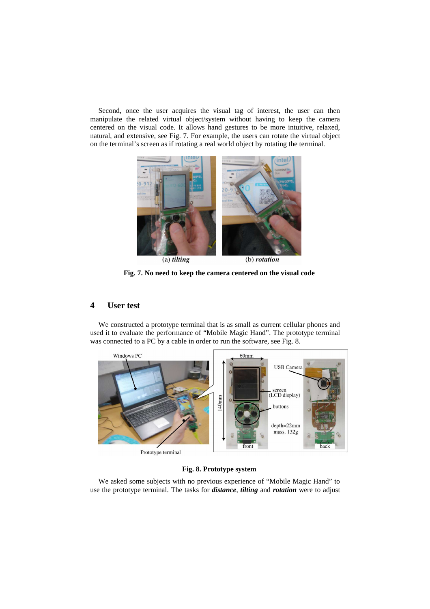Second, once the user acquires the visual tag of interest, the user can then manipulate the related virtual object/system without having to keep the camera centered on the visual code. It allows hand gestures to be more intuitive, relaxed, natural, and extensive, see Fig. 7. For example, the users can rotate the virtual object on the terminal's screen as if rotating a real world object by rotating the terminal.



**Fig. 7. No need to keep the camera centered on the visual code** 

## **4 User test**

We constructed a prototype terminal that is as small as current cellular phones and used it to evaluate the performance of "Mobile Magic Hand". The prototype terminal was connected to a PC by a cable in order to run the software, see Fig. 8.



### **Fig. 8. Prototype system**

We asked some subjects with no previous experience of "Mobile Magic Hand" to use the prototype terminal. The tasks for *distance*, *tilting* and *rotation* were to adjust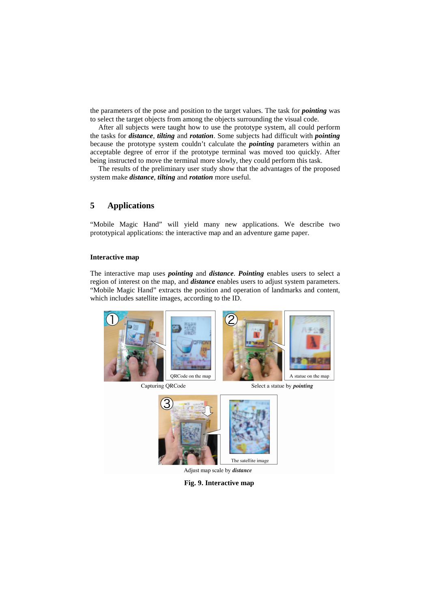the parameters of the pose and position to the target values. The task for *pointing* was to select the target objects from among the objects surrounding the visual code.

After all subjects were taught how to use the prototype system, all could perform the tasks for *distance*, *tilting* and *rotation*. Some subjects had difficult with *pointing* because the prototype system couldn't calculate the *pointing* parameters within an acceptable degree of error if the prototype terminal was moved too quickly. After being instructed to move the terminal more slowly, they could perform this task.

The results of the preliminary user study show that the advantages of the proposed system make *distance*, *tilting* and *rotation* more useful.

## **5 Applications**

"Mobile Magic Hand" will yield many new applications. We describe two prototypical applications: the interactive map and an adventure game paper.

### **Interactive map**

The interactive map uses *pointing* and *distance*. *Pointing* enables users to select a region of interest on the map, and *distance* enables users to adjust system parameters. "Mobile Magic Hand" extracts the position and operation of landmarks and content, which includes satellite images, according to the ID.



Capturing ORCode

Select a statue by *pointing* 



Adjust map scale by distance

**Fig. 9. Interactive map**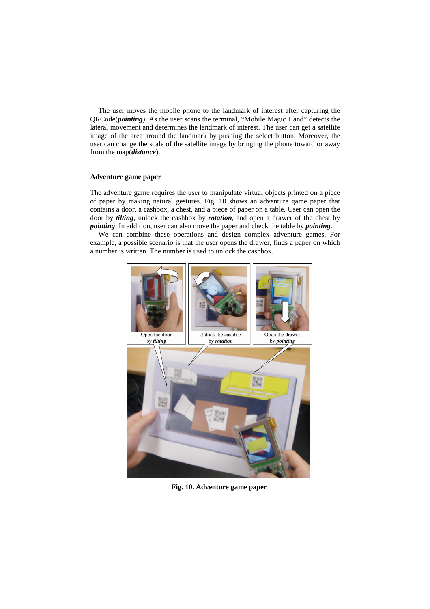The user moves the mobile phone to the landmark of interest after capturing the QRCode(*pointing*). As the user scans the terminal, "Mobile Magic Hand" detects the lateral movement and determines the landmark of interest. The user can get a satellite image of the area around the landmark by pushing the select button. Moreover, the user can change the scale of the satellite image by bringing the phone toward or away from the map(*distance*).

### **Adventure game paper**

The adventure game requires the user to manipulate virtual objects printed on a piece of paper by making natural gestures. Fig. 10 shows an adventure game paper that contains a door, a cashbox, a chest, and a piece of paper on a table. User can open the door by *tilting*, unlock the cashbox by *rotation*, and open a drawer of the chest by *pointing*. In addition, user can also move the paper and check the table by *pointing*.

We can combine these operations and design complex adventure games. For example, a possible scenario is that the user opens the drawer, finds a paper on which a number is written. The number is used to unlock the cashbox.



**Fig. 10. Adventure game paper**